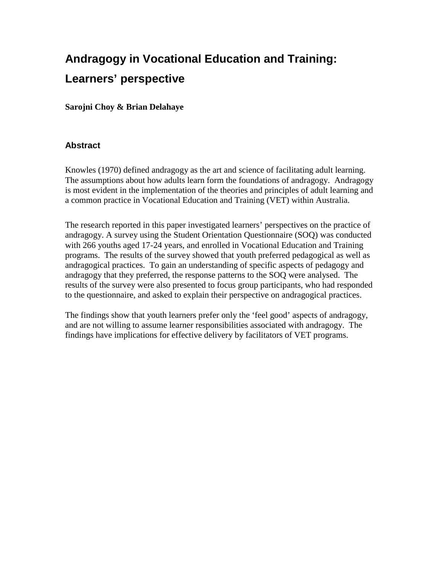# **Andragogy in Vocational Education and Training: Learners' perspective**

**Sarojni Choy & Brian Delahaye** 

## **Abstract**

Knowles (1970) defined andragogy as the art and science of facilitating adult learning. The assumptions about how adults learn form the foundations of andragogy. Andragogy is most evident in the implementation of the theories and principles of adult learning and a common practice in Vocational Education and Training (VET) within Australia.

The research reported in this paper investigated learners' perspectives on the practice of andragogy. A survey using the Student Orientation Questionnaire (SOQ) was conducted with 266 youths aged 17-24 years, and enrolled in Vocational Education and Training programs. The results of the survey showed that youth preferred pedagogical as well as andragogical practices. To gain an understanding of specific aspects of pedagogy and andragogy that they preferred, the response patterns to the SOQ were analysed. The results of the survey were also presented to focus group participants, who had responded to the questionnaire, and asked to explain their perspective on andragogical practices.

The findings show that youth learners prefer only the 'feel good' aspects of andragogy, and are not willing to assume learner responsibilities associated with andragogy. The findings have implications for effective delivery by facilitators of VET programs.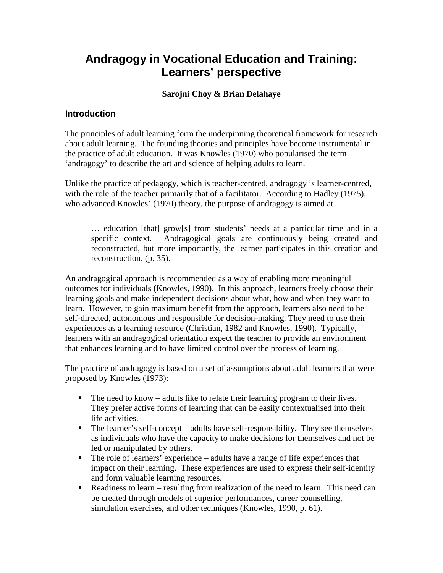## **Andragogy in Vocational Education and Training: Learners' perspective**

## **Sarojni Choy & Brian Delahaye**

## **Introduction**

The principles of adult learning form the underpinning theoretical framework for research about adult learning. The founding theories and principles have become instrumental in the practice of adult education. It was Knowles (1970) who popularised the term 'andragogy' to describe the art and science of helping adults to learn.

Unlike the practice of pedagogy, which is teacher-centred, andragogy is learner-centred, with the role of the teacher primarily that of a facilitator. According to Hadley (1975), who advanced Knowles' (1970) theory, the purpose of andragogy is aimed at

… education [that] grow[s] from students' needs at a particular time and in a specific context. Andragogical goals are continuously being created and reconstructed, but more importantly, the learner participates in this creation and reconstruction. (p. 35).

An andragogical approach is recommended as a way of enabling more meaningful outcomes for individuals (Knowles, 1990). In this approach, learners freely choose their learning goals and make independent decisions about what, how and when they want to learn. However, to gain maximum benefit from the approach, learners also need to be self-directed, autonomous and responsible for decision-making. They need to use their experiences as a learning resource (Christian, 1982 and Knowles, 1990). Typically, learners with an andragogical orientation expect the teacher to provide an environment that enhances learning and to have limited control over the process of learning.

The practice of andragogy is based on a set of assumptions about adult learners that were proposed by Knowles (1973):

- $\blacksquare$  The need to know adults like to relate their learning program to their lives. They prefer active forms of learning that can be easily contextualised into their life activities.
- $\blacksquare$  The learner's self-concept adults have self-responsibility. They see themselves as individuals who have the capacity to make decisions for themselves and not be led or manipulated by others.
- The role of learners' experience adults have a range of life experiences that impact on their learning. These experiences are used to express their self-identity and form valuable learning resources.
- Readiness to learn resulting from realization of the need to learn. This need can be created through models of superior performances, career counselling, simulation exercises, and other techniques (Knowles, 1990, p. 61).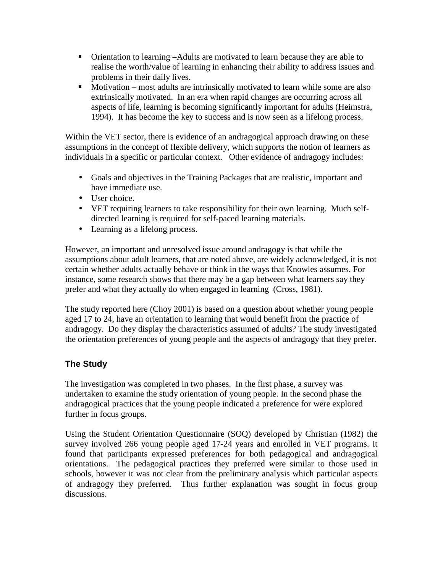- Orientation to learning –Adults are motivated to learn because they are able to realise the worth/value of learning in enhancing their ability to address issues and problems in their daily lives.
- Motivation most adults are intrinsically motivated to learn while some are also extrinsically motivated. In an era when rapid changes are occurring across all aspects of life, learning is becoming significantly important for adults (Heimstra, 1994). It has become the key to success and is now seen as a lifelong process.

Within the VET sector, there is evidence of an andragogical approach drawing on these assumptions in the concept of flexible delivery, which supports the notion of learners as individuals in a specific or particular context. Other evidence of andragogy includes:

- Goals and objectives in the Training Packages that are realistic, important and have immediate use.
- User choice.
- VET requiring learners to take responsibility for their own learning. Much selfdirected learning is required for self-paced learning materials.
- Learning as a lifelong process.

However, an important and unresolved issue around andragogy is that while the assumptions about adult learners, that are noted above, are widely acknowledged, it is not certain whether adults actually behave or think in the ways that Knowles assumes. For instance, some research shows that there may be a gap between what learners say they prefer and what they actually do when engaged in learning (Cross, 1981).

The study reported here (Choy 2001) is based on a question about whether young people aged 17 to 24, have an orientation to learning that would benefit from the practice of andragogy. Do they display the characteristics assumed of adults? The study investigated the orientation preferences of young people and the aspects of andragogy that they prefer.

## **The Study**

The investigation was completed in two phases. In the first phase, a survey was undertaken to examine the study orientation of young people. In the second phase the andragogical practices that the young people indicated a preference for were explored further in focus groups.

Using the Student Orientation Questionnaire (SOQ) developed by Christian (1982) the survey involved 266 young people aged 17-24 years and enrolled in VET programs. It found that participants expressed preferences for both pedagogical and andragogical orientations. The pedagogical practices they preferred were similar to those used in schools, however it was not clear from the preliminary analysis which particular aspects of andragogy they preferred. Thus further explanation was sought in focus group discussions.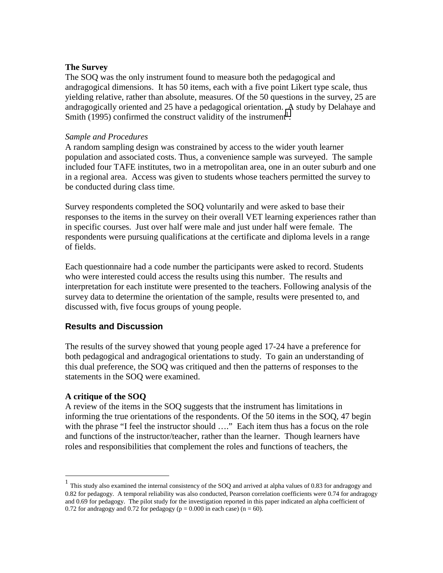#### **The Survey**

The SOQ was the only instrument found to measure both the pedagogical and andragogical dimensions. It has 50 items, each with a five point Likert type scale, thus yielding relative, rather than absolute, measures. Of the 50 questions in the survey, 25 are andragogically oriented and 25 have a pedagogical orientation. A study by Delahaye and Smith  $(1995)$  confirmed the construct validity of the instrument<sup>1</sup>.

#### *Sample and Procedures*

A random sampling design was constrained by access to the wider youth learner population and associated costs. Thus, a convenience sample was surveyed. The sample included four TAFE institutes, two in a metropolitan area, one in an outer suburb and one in a regional area. Access was given to students whose teachers permitted the survey to be conducted during class time.

Survey respondents completed the SOQ voluntarily and were asked to base their responses to the items in the survey on their overall VET learning experiences rather than in specific courses. Just over half were male and just under half were female. The respondents were pursuing qualifications at the certificate and diploma levels in a range of fields.

Each questionnaire had a code number the participants were asked to record. Students who were interested could access the results using this number. The results and interpretation for each institute were presented to the teachers. Following analysis of the survey data to determine the orientation of the sample, results were presented to, and discussed with, five focus groups of young people.

#### **Results and Discussion**

The results of the survey showed that young people aged 17-24 have a preference for both pedagogical and andragogical orientations to study. To gain an understanding of this dual preference, the SOQ was critiqued and then the patterns of responses to the statements in the SOQ were examined.

#### **A critique of the SOQ**

 $\overline{a}$ 

A review of the items in the SOQ suggests that the instrument has limitations in informing the true orientations of the respondents. Of the 50 items in the SOQ, 47 begin with the phrase "I feel the instructor should ...." Each item thus has a focus on the role and functions of the instructor/teacher, rather than the learner. Though learners have roles and responsibilities that complement the roles and functions of teachers, the

<sup>1</sup> This study also examined the internal consistency of the SOQ and arrived at alpha values of 0.83 for andragogy and 0.82 for pedagogy. A temporal reliability was also conducted, Pearson correlation coefficients were 0.74 for andragogy and 0.69 for pedagogy. The pilot study for the investigation reported in this paper indicated an alpha coefficient of 0.72 for andragogy and 0.72 for pedagogy ( $p = 0.000$  in each case) ( $n = 60$ ).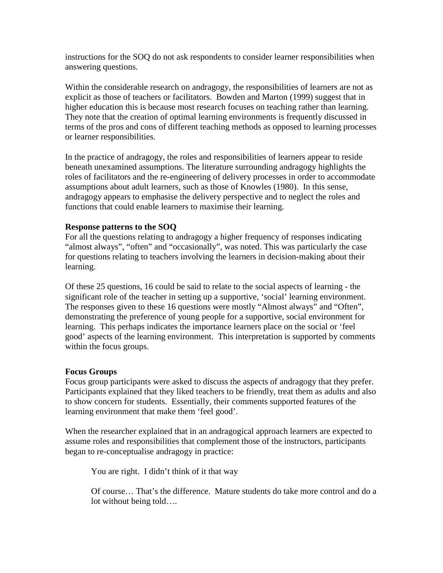instructions for the SOQ do not ask respondents to consider learner responsibilities when answering questions.

Within the considerable research on andragogy, the responsibilities of learners are not as explicit as those of teachers or facilitators. Bowden and Marton (1999) suggest that in higher education this is because most research focuses on teaching rather than learning. They note that the creation of optimal learning environments is frequently discussed in terms of the pros and cons of different teaching methods as opposed to learning processes or learner responsibilities.

In the practice of andragogy, the roles and responsibilities of learners appear to reside beneath unexamined assumptions. The literature surrounding andragogy highlights the roles of facilitators and the re-engineering of delivery processes in order to accommodate assumptions about adult learners, such as those of Knowles (1980). In this sense, andragogy appears to emphasise the delivery perspective and to neglect the roles and functions that could enable learners to maximise their learning.

#### **Response patterns to the SOQ**

For all the questions relating to andragogy a higher frequency of responses indicating "almost always", "often" and "occasionally", was noted. This was particularly the case for questions relating to teachers involving the learners in decision-making about their learning.

Of these 25 questions, 16 could be said to relate to the social aspects of learning - the significant role of the teacher in setting up a supportive, 'social' learning environment. The responses given to these 16 questions were mostly "Almost always" and "Often", demonstrating the preference of young people for a supportive, social environment for learning. This perhaps indicates the importance learners place on the social or 'feel good' aspects of the learning environment. This interpretation is supported by comments within the focus groups.

#### **Focus Groups**

Focus group participants were asked to discuss the aspects of andragogy that they prefer. Participants explained that they liked teachers to be friendly, treat them as adults and also to show concern for students. Essentially, their comments supported features of the learning environment that make them 'feel good'.

When the researcher explained that in an andragogical approach learners are expected to assume roles and responsibilities that complement those of the instructors, participants began to re-conceptualise andragogy in practice:

You are right. I didn't think of it that way

Of course… That's the difference. Mature students do take more control and do a lot without being told….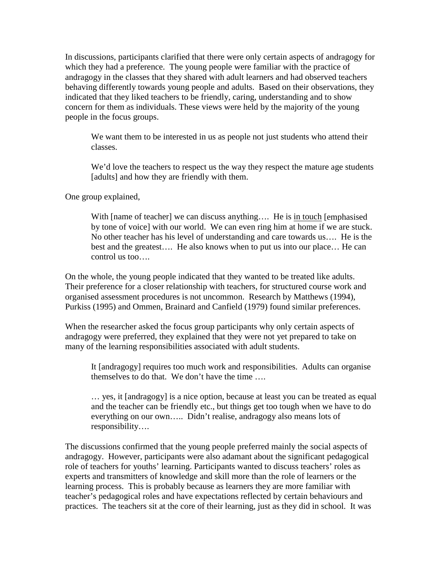In discussions, participants clarified that there were only certain aspects of andragogy for which they had a preference. The young people were familiar with the practice of andragogy in the classes that they shared with adult learners and had observed teachers behaving differently towards young people and adults. Based on their observations, they indicated that they liked teachers to be friendly, caring, understanding and to show concern for them as individuals. These views were held by the majority of the young people in the focus groups.

We want them to be interested in us as people not just students who attend their classes.

We'd love the teachers to respect us the way they respect the mature age students [adults] and how they are friendly with them.

One group explained,

With [name of teacher] we can discuss anything.... He is in touch [emphasised] by tone of voice] with our world. We can even ring him at home if we are stuck. No other teacher has his level of understanding and care towards us…. He is the best and the greatest…. He also knows when to put us into our place… He can control us too….

On the whole, the young people indicated that they wanted to be treated like adults. Their preference for a closer relationship with teachers, for structured course work and organised assessment procedures is not uncommon. Research by Matthews (1994), Purkiss (1995) and Ommen, Brainard and Canfield (1979) found similar preferences.

When the researcher asked the focus group participants why only certain aspects of andragogy were preferred, they explained that they were not yet prepared to take on many of the learning responsibilities associated with adult students.

It [andragogy] requires too much work and responsibilities. Adults can organise themselves to do that. We don't have the time ….

… yes, it [andragogy] is a nice option, because at least you can be treated as equal and the teacher can be friendly etc., but things get too tough when we have to do everything on our own….. Didn't realise, andragogy also means lots of responsibility….

The discussions confirmed that the young people preferred mainly the social aspects of andragogy. However, participants were also adamant about the significant pedagogical role of teachers for youths' learning. Participants wanted to discuss teachers' roles as experts and transmitters of knowledge and skill more than the role of learners or the learning process. This is probably because as learners they are more familiar with teacher's pedagogical roles and have expectations reflected by certain behaviours and practices. The teachers sit at the core of their learning, just as they did in school. It was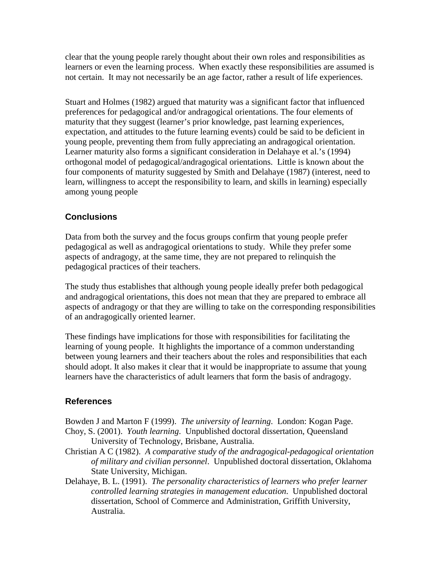clear that the young people rarely thought about their own roles and responsibilities as learners or even the learning process. When exactly these responsibilities are assumed is not certain. It may not necessarily be an age factor, rather a result of life experiences.

Stuart and Holmes (1982) argued that maturity was a significant factor that influenced preferences for pedagogical and/or andragogical orientations. The four elements of maturity that they suggest (learner's prior knowledge, past learning experiences, expectation, and attitudes to the future learning events) could be said to be deficient in young people, preventing them from fully appreciating an andragogical orientation. Learner maturity also forms a significant consideration in Delahaye et al.'s (1994) orthogonal model of pedagogical/andragogical orientations. Little is known about the four components of maturity suggested by Smith and Delahaye (1987) (interest, need to learn, willingness to accept the responsibility to learn, and skills in learning) especially among young people

## **Conclusions**

Data from both the survey and the focus groups confirm that young people prefer pedagogical as well as andragogical orientations to study. While they prefer some aspects of andragogy, at the same time, they are not prepared to relinquish the pedagogical practices of their teachers.

The study thus establishes that although young people ideally prefer both pedagogical and andragogical orientations, this does not mean that they are prepared to embrace all aspects of andragogy or that they are willing to take on the corresponding responsibilities of an andragogically oriented learner.

These findings have implications for those with responsibilities for facilitating the learning of young people. It highlights the importance of a common understanding between young learners and their teachers about the roles and responsibilities that each should adopt. It also makes it clear that it would be inappropriate to assume that young learners have the characteristics of adult learners that form the basis of andragogy.

### **References**

Bowden J and Marton F (1999). *The university of learning*. London: Kogan Page. Choy, S. (2001). *Youth learning*. Unpublished doctoral dissertation, Queensland University of Technology, Brisbane, Australia.

- Christian A C (1982). *A comparative study of the andragogical-pedagogical orientation of military and civilian personnel*. Unpublished doctoral dissertation, Oklahoma State University, Michigan.
- Delahaye, B. L. (1991). *The personality characteristics of learners who prefer learner controlled learning strategies in management education*. Unpublished doctoral dissertation, School of Commerce and Administration, Griffith University, Australia.